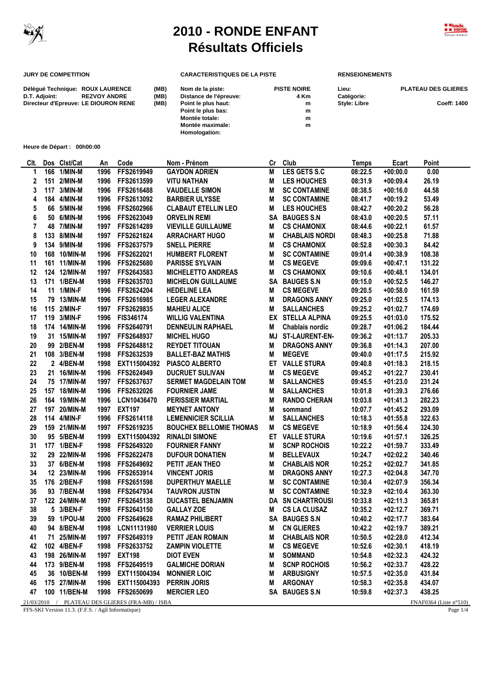

 $\overline{a}$ 

## **2010 - RONDE ENFANT Résultats Officiels**



## **JURY DE COMPETITION CARACTERISTIQUES DE LA PISTE RENSEIGNEMENTS**

**Homologation:**

| Déléqué Technique: ROUX LAURENCE     |                     | (MB) | Nom de la piste:        | <b>PISTE NOIRE</b> | Lieu:        | <b>PLATEAU DES GLIERES</b> |
|--------------------------------------|---------------------|------|-------------------------|--------------------|--------------|----------------------------|
| D.T. Adioint:                        | <b>REZVOY ANDRE</b> | (MB) | Distance de l'épreuve:  | 4 Km               | Catégorie:   |                            |
| Directeur d'Epreuve: LE DIOURON RENE |                     | (MB) | Point le plus haut:     | m                  | Style: Libre | Coeff: 1400                |
|                                      |                     |      | Point le plus bas:      | m                  |              |                            |
|                                      |                     |      | Montée totale:          | m                  |              |                            |
|                                      |                     |      | <b>Montée maximale:</b> | m                  |              |                            |

**Heure de Départ : 00h00:00**

| CIt. | Dos Clst/Cat | An   | Code                                             | Nom - Prénom                   | Cr | Club                  | <b>Temps</b> | Ecart      | Point                  |
|------|--------------|------|--------------------------------------------------|--------------------------------|----|-----------------------|--------------|------------|------------------------|
| 1    | 166 1/MIN-M  | 1996 | FFS2619949                                       | <b>GAYDON ADRIEN</b>           | M  | LES GETS S.C          | 08:22.5      | $+00:00.0$ | 0.00                   |
| 2    | 151 2/MIN-M  | 1996 | FFS2613599                                       | <b>VITU NATHAN</b>             | M  | <b>LES HOUCHES</b>    | 08:31.9      | $+00:09.4$ | 26.19                  |
| 3    | 117 3/MIN-M  | 1996 | FFS2616488                                       | <b>VAUDELLE SIMON</b>          | M  | <b>SC CONTAMINE</b>   | 08:38.5      | $+00:16.0$ | 44.58                  |
| 4    | 184 4/MIN-M  | 1996 | FFS2613092                                       | <b>BARBIER ULYSSE</b>          | M  | <b>SC CONTAMINE</b>   | 08:41.7      | $+00:19.2$ | 53.49                  |
| 5    | 66 5/MIN-M   | 1996 | FFS2602966                                       | <b>CLABAUT ETELLIN LEO</b>     | M  | <b>LES HOUCHES</b>    | 08:42.7      | $+00:20.2$ | 56.28                  |
| 6    | 50 6/MIN-M   | 1996 | FFS2623049                                       | <b>ORVELIN REMI</b>            |    | SA BAUGES S.N         | 08:43.0      | $+00:20.5$ | 57.11                  |
| 7    | 48 7/MIN-M   | 1997 | FFS2614289                                       | <b>VIEVILLE GUILLAUME</b>      | M  | <b>CS CHAMONIX</b>    | 08:44.6      | $+00:22.1$ | 61.57                  |
| 8    | 133 8/MIN-M  | 1997 | FFS2621824                                       | <b>ARRACHART HUGO</b>          | M  | <b>CHABLAIS NORDI</b> | 08:48.3      | $+00:25.8$ | 71.88                  |
| 9    | 134 9/MIN-M  | 1996 | FFS2637579                                       | <b>SNELL PIERRE</b>            | M  | <b>CS CHAMONIX</b>    | 08:52.8      | $+00:30.3$ | 84.42                  |
| 10   | 168 10/MIN-M | 1996 | FFS2622021                                       | <b>HUMBERT FLORENT</b>         | M  | <b>SC CONTAMINE</b>   | 09:01.4      | $+00:38.9$ | 108.38                 |
| 11   | 161 11/MIN-M | 1996 | FFS2625680                                       | <b>PARISSE SYLVAIN</b>         | M  | <b>CS MEGEVE</b>      | 09:09.6      | $+00:47.1$ | 131.22                 |
| 12   | 124 12/MIN-M | 1997 | FFS2643583                                       | <b>MICHELETTO ANDREAS</b>      | M  | <b>CS CHAMONIX</b>    | 09:10.6      | $+00:48.1$ | 134.01                 |
| 13   | 171 1/BEN-M  | 1998 | FFS2635703                                       | <b>MICHELON GUILLAUME</b>      |    | SA BAUGES S.N         | 09:15.0      | $+00:52.5$ | 146.27                 |
| 14   | 11 1/MIN-F   | 1996 | FFS2624204                                       | <b>HEDELINE LEA</b>            | M  | <b>CS MEGEVE</b>      | 09:20.5      | $+00:58.0$ | 161.59                 |
| 15   | 79 13/MIN-M  | 1996 | FFS2616985                                       | <b>LEGER ALEXANDRE</b>         | M  | <b>DRAGONS ANNY</b>   | 09:25.0      | $+01:02.5$ | 174.13                 |
| 16   | 115 2/MIN-F  | 1997 | FFS2629835                                       | <b>MAHIEU ALICE</b>            | M  | <b>SALLANCHES</b>     | 09:25.2      | $+01:02.7$ | 174.69                 |
| 17   | 119 3/MIN-F  | 1996 | <b>FIS346174</b>                                 | <b>WILLIG VALENTINA</b>        |    | EX STELLA ALPINA      | 09:25.5      | $+01:03.0$ | 175.52                 |
| 18   | 174 14/MIN-M | 1996 | FFS2640791                                       | <b>DENNEULIN RAPHAEL</b>       | M  | Chablais nordic       | 09:28.7      | $+01:06.2$ | 184.44                 |
| 19   | 31 15/MIN-M  | 1997 | FFS2648937                                       | <b>MICHEL HUGO</b>             | MJ | <b>ST-LAURENT-EN-</b> | 09:36.2      | $+01:13.7$ | 205.33                 |
| 20   | 99 2/BEN-M   | 1998 | FFS2648812                                       | <b>REYDET TITOUAN</b>          | M  | <b>DRAGONS ANNY</b>   | 09:36.8      | $+01:14.3$ | 207.00                 |
| 21   | 108 3/BEN-M  | 1998 | FFS2632539                                       | <b>BALLET-BAZ MATHIS</b>       | M  | <b>MEGEVE</b>         | 09:40.0      | $+01:17.5$ | 215.92                 |
| 22   | 2 4/BEN-M    | 1998 | EXT115004392                                     | <b>PIASCO ALBERTO</b>          |    | ET VALLE STURA        | 09:40.8      | $+01:18.3$ | 218.15                 |
| 23   | 21 16/MIN-M  | 1996 | FFS2624949                                       | <b>DUCRUET SULIVAN</b>         | M  | <b>CS MEGEVE</b>      | 09:45.2      | $+01:22.7$ | 230.41                 |
| 24   | 75 17/MIN-M  | 1997 | FFS2637637                                       | <b>SERMET MAGDELAIN TOM</b>    | M  | <b>SALLANCHES</b>     | 09:45.5      | $+01:23.0$ | 231.24                 |
| 25   | 157 18/MIN-M | 1996 | FFS2632026                                       | <b>FOURNIER JAME</b>           | M  | <b>SALLANCHES</b>     | 10:01.8      | $+01:39.3$ | 276.66                 |
| 26   | 164 19/MIN-M | 1996 | LCN10436470                                      | <b>PERISSIER MARTIAL</b>       | M  | <b>RANDO CHERAN</b>   | 10:03.8      | $+01:41.3$ | 282.23                 |
| 27   | 197 20/MIN-M | 1997 | <b>EXT197</b>                                    | <b>MEYNET ANTONY</b>           | M  | sommand               | 10:07.7      | $+01:45.2$ | 293.09                 |
| 28   | 114 4/MIN-F  | 1996 | FFS2614118                                       | <b>LEMENNICIER SCILLIA</b>     | M  | <b>SALLANCHES</b>     | 10:18.3      | $+01:55.8$ | 322.63                 |
| 29   | 159 21/MIN-M | 1997 | FFS2619235                                       | <b>BOUCHEX BELLOMIE THOMAS</b> | M  | <b>CS MEGEVE</b>      | 10:18.9      | $+01:56.4$ | 324.30                 |
| 30   | 95 5/BEN-M   | 1999 | EXT115004392                                     | <b>RINALDI SIMONE</b>          |    | ET VALLE STURA        | 10:19.6      | $+01:57.1$ | 326.25                 |
| 31   | 177 1/BEN-F  | 1998 | FFS2649320                                       | <b>FOURNIER FANNY</b>          | M  | <b>SCNP ROCHOIS</b>   | 10:22.2      | $+01:59.7$ | 333.49                 |
| 32   | 29 22/MIN-M  | 1996 | FFS2622478                                       | <b>DUFOUR DONATIEN</b>         | M  | <b>BELLEVAUX</b>      | 10:24.7      | $+02:02.2$ | 340.46                 |
| 33   | 37 6/BEN-M   | 1998 | FFS2649692                                       | PETIT JEAN THEO                | M  | <b>CHABLAIS NOR</b>   | 10:25.2      | $+02:02.7$ | 341.85                 |
| 34   | 12 23/MIN-M  | 1996 | FFS2653914                                       | <b>VINCENT JORIS</b>           | M  | <b>DRAGONS ANNY</b>   | 10:27.3      | $+02:04.8$ | 347.70                 |
| 35   | 176 2/BEN-F  | 1998 | FFS2651598                                       | <b>DUPERTHUY MAELLE</b>        | M  | <b>SC CONTAMINE</b>   | 10:30.4      | $+02:07.9$ | 356.34                 |
| 36   | 93 7/BEN-M   | 1998 | FFS2647934                                       | <b>TAUVRON JUSTIN</b>          | M  | <b>SC CONTAMINE</b>   | 10:32.9      | $+02:10.4$ | 363.30                 |
| 37   | 122 24/MIN-M | 1997 | FFS2645138                                       | <b>DUCASTEL BENJAMIN</b>       |    | DA SN CHARTROUSI      | 10:33.8      | $+02:11.3$ | 365.81                 |
| 38   | 5 3/BEN-F    | 1998 | FFS2643150                                       | <b>GALLAY ZOE</b>              | M  | <b>CS LA CLUSAZ</b>   | 10:35.2      | $+02:12.7$ | 369.71                 |
| 39   | 59 1/POU-M   | 2000 | FFS2649628                                       | <b>RAMAZ PHILIBERT</b>         |    | SA BAUGES S.N         | 10:40.2      | $+02:17.7$ | 383.64                 |
| 40   | 94 8/BEN-M   |      | 1998 LCN11131980                                 | <b>VERRIER LOUIS</b>           | M  | <b>CN GLIERES</b>     | 10:42.2      | $+02:19.7$ | 389.21                 |
| 41   | 71 25/MIN-M  |      | 1997 FFS2649319                                  | PETIT JEAN ROMAIN              | M  | <b>CHABLAIS NOR</b>   | 10:50.5      | $+02:28.0$ | 412.34                 |
| 42   | 102 4/BEN-F  |      | 1998 FFS2633752                                  | <b>ZAMPIN VIOLETTE</b>         | M  | <b>CS MEGEVE</b>      | 10:52.6      | $+02:30.1$ | 418.19                 |
| 43   | 198 26/MIN-M |      | 1997 EXT198                                      | <b>DIOT EVEN</b>               | M  | <b>SOMMAND</b>        | 10:54.8      | $+02:32.3$ | 424.32                 |
| 44   | 173 9/BEN-M  | 1998 | FFS2649519                                       | <b>GALMICHE DORIAN</b>         | M  | <b>SCNP ROCHOIS</b>   | 10:56.2      | $+02:33.7$ | 428.22                 |
| 45   | 36 10/BEN-M  | 1999 | EXT115004394                                     | <b>MONNIER LOIC</b>            | M  | <b>ARBUSIGNY</b>      | 10:57.5      | $+02:35.0$ | 431.84                 |
| 46   | 175 27/MIN-M |      | 1996 EXT115004393                                | <b>PERRIN JORIS</b>            | M  | <b>ARGONAY</b>        | 10:58.3      | $+02:35.8$ | 434.07                 |
| 47   | 100 11/BEN-M |      | 1998 FFS2650699                                  | <b>MERCIER LEO</b>             |    | SA BAUGES S.N         | 10:59.8      | $+02:37.3$ | 438.25                 |
|      |              |      | 21/03/2010 / PLATEAU DES GLIERES (FRA-MB) / ISBA |                                |    |                       |              |            | FNAF0364 (Liste n°510) |

FFS-SKI Version 11.3. (F.F.S. / Agil Informatique) Page 1/4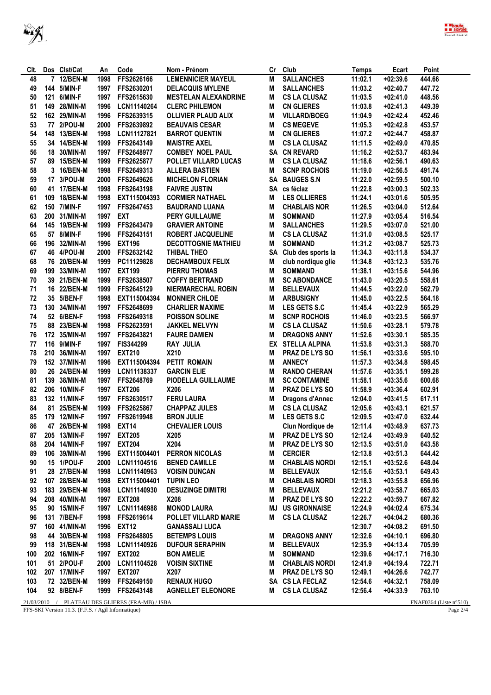

| Clt. |     | Dos Clst/Cat    | An   | Code                                             | Nom - Prénom                | Cr | Club                    | <b>Temps</b> | Ecart      | Point                     |
|------|-----|-----------------|------|--------------------------------------------------|-----------------------------|----|-------------------------|--------------|------------|---------------------------|
| 48   |     | 7 12/BEN-M      | 1998 | FFS2626166                                       | <b>LEMENNICIER MAYEUL</b>   | M  | <b>SALLANCHES</b>       | 11:02.1      | $+02:39.6$ | 444.66                    |
| 49   |     | 144 5/MIN-F     | 1997 | FFS2630201                                       | <b>DELACQUIS MYLENE</b>     | M  | <b>SALLANCHES</b>       | 11:03.2      | $+02:40.7$ | 447.72                    |
| 50   | 121 | 6/MIN-F         | 1997 | FFS2615630                                       | <b>MESTELAN ALEXANDRINE</b> | М  | <b>CS LA CLUSAZ</b>     | 11:03.5      | $+02:41.0$ | 448.56                    |
| 51   | 149 | 28/MIN-M        | 1996 | LCN11140264                                      | <b>CLERC PHILEMON</b>       | М  | <b>CN GLIERES</b>       | 11:03.8      | $+02:41.3$ | 449.39                    |
| 52   |     | 162 29/MIN-M    | 1996 | FFS2639315                                       | <b>OLLIVIER PLAUD ALIX</b>  | M  | <b>VILLARD/BOEG</b>     | 11:04.9      | $+02:42.4$ | 452.46                    |
| 53   |     | 77 2/POU-M      | 2000 | FFS2639892                                       | <b>BEAUVAIS CESAR</b>       | M  | <b>CS MEGEVE</b>        | 11:05.3      | $+02:42.8$ | 453.57                    |
| 54   | 148 | <b>13/BEN-M</b> | 1998 | LCN11127821                                      | <b>BARROT QUENTIN</b>       | M  | <b>CN GLIERES</b>       | 11:07.2      | $+02:44.7$ | 458.87                    |
| 55   |     | 34 14/BEN-M     | 1999 | FFS2643149                                       | <b>MAISTRE AXEL</b>         | M  | <b>CS LA CLUSAZ</b>     | 11:11.5      | $+02:49.0$ | 470.85                    |
| 56   |     |                 | 1997 | FFS2648977                                       | <b>COMBEY NOEL PAUL</b>     |    | <b>CN REVARD</b>        | 11:16.2      | $+02:53.7$ | 483.94                    |
|      |     | 18 30/MIN-M     |      | FFS2625877                                       | <b>POLLET VILLARD LUCAS</b> | SA | <b>CS LA CLUSAZ</b>     |              |            |                           |
| 57   |     | 89 15/BEN-M     | 1999 |                                                  |                             | M  |                         | 11:18.6      | $+02:56.1$ | 490.63                    |
| 58   |     | 3 16/BEN-M      | 1998 | FFS2649313                                       | <b>ALLERA BASTIEN</b>       | М  | <b>SCNP ROCHOIS</b>     | 11:19.0      | $+02:56.5$ | 491.74                    |
| 59   | 17  | 3/POU-M         | 2000 | FFS2649626                                       | <b>MICHELON FLORIAN</b>     |    | SA BAUGES S.N           | 11:22.0      | $+02:59.5$ | 500.10                    |
| 60   |     | 41 17/BEN-M     | 1998 | FFS2643198                                       | <b>FAIVRE JUSTIN</b>        |    | SA cs féclaz            | 11:22.8      | $+03:00.3$ | 502.33                    |
| 61   | 109 | <b>18/BEN-M</b> | 1998 | EXT115004393                                     | <b>CORMIER NATHAEL</b>      | M  | <b>LES OLLIERES</b>     | 11:24.1      | $+03:01.6$ | 505.95                    |
| 62   | 150 | 7/MIN-F         | 1997 | FFS2647453                                       | <b>BAUDRAND LUANA</b>       | M  | <b>CHABLAIS NOR</b>     | 11:26.5      | $+03:04.0$ | 512.64                    |
| 63   | 200 | 31/MIN-M        | 1997 | <b>EXT</b>                                       | <b>PERY GUILLAUME</b>       | M  | <b>SOMMAND</b>          | 11:27.9      | $+03:05.4$ | 516.54                    |
| 64   |     | 145 19/BEN-M    | 1999 | FFS2643479                                       | <b>GRAVIER ANTOINE</b>      | M  | <b>SALLANCHES</b>       | 11:29.5      | $+03:07.0$ | 521.00                    |
| 65   |     | 57 8/MIN-F      | 1996 | FFS2643151                                       | <b>ROBERT JACQUELINE</b>    | M  | <b>CS LA CLUSAZ</b>     | 11:31.0      | $+03:08.5$ | 525.17                    |
| 66   |     | 196 32/MIN-M    | 1996 | <b>EXT196</b>                                    | <b>DECOTTOGNIE MATHIEU</b>  | М  | <b>SOMMAND</b>          | 11:31.2      | $+03:08.7$ | 525.73                    |
| 67   |     | 46 4/POU-M      | 2000 | FFS2632142                                       | THIBAL THEO                 | SA | Club des sports la      | 11:34.3      | $+03:11.8$ | 534.37                    |
| 68   |     | 76 20/BEN-M     | 1999 | PC11129828                                       | <b>DECHAMBOUX FELIX</b>     | Μ  | club nordique glie      | 11:34.8      | $+03:12.3$ | 535.76                    |
| 69   |     | 199 33/MIN-M    | 1997 | <b>EXT199</b>                                    | <b>PIERRU THOMAS</b>        | M  | <b>SOMMAND</b>          | 11:38.1      | $+03:15.6$ | 544.96                    |
| 70   |     | 39 21/BEN-M     | 1999 | FFS2638507                                       | <b>COFFY BERTRAND</b>       | М  | <b>SC ABONDANCE</b>     | 11:43.0      | $+03:20.5$ | 558.61                    |
| 71   | 16  | <b>22/BEN-M</b> | 1999 | FFS2645129                                       | <b>NIERMARECHAL ROBIN</b>   | M  | <b>BELLEVAUX</b>        | 11:44.5      | $+03:22.0$ | 562.79                    |
| 72   |     | 35 5/BEN-F      | 1998 | EXT115004394                                     | <b>MONNIER CHLOE</b>        | M  | <b>ARBUSIGNY</b>        | 11:45.0      | $+03:22.5$ | 564.18                    |
| 73   |     | 130 34/MIN-M    | 1997 | FFS2648699                                       |                             | M  |                         | 11:45.4      | $+03:22.9$ | 565.29                    |
|      |     |                 |      |                                                  | <b>CHARLIER MAXIME</b>      |    | LES GETS S.C            |              |            |                           |
| 74   |     | 52 6/BEN-F      | 1998 | FFS2649318                                       | <b>POISSON SOLINE</b>       | M  | <b>SCNP ROCHOIS</b>     | 11:46.0      | $+03:23.5$ | 566.97                    |
| 75   |     | 88 23/BEN-M     | 1998 | FFS2623591                                       | <b>JAKKEL MELVYN</b>        | M  | <b>CS LA CLUSAZ</b>     | 11:50.6      | $+03:28.1$ | 579.78                    |
| 76   |     | 172 35/MIN-M    | 1997 | FFS2643821                                       | <b>FAURE DAMIEN</b>         | M  | <b>DRAGONS ANNY</b>     | 11:52.6      | $+03:30.1$ | 585.35                    |
| 77   | 116 | 9/MIN-F         | 1997 | FIS344299                                        | <b>RAY JULIA</b>            |    | EX STELLA ALPINA        | 11:53.8      | $+03:31.3$ | 588.70                    |
| 78   | 210 | 36/MIN-M        | 1997 | <b>EXT210</b>                                    | X210                        | M  | PRAZ DE LYS SO          | 11:56.1      | $+03:33.6$ | 595.10                    |
| 79   |     | 152 37/MIN-M    | 1996 | EXT115004394                                     | PETIT ROMAIN                | M  | <b>ANNECY</b>           | 11:57.3      | $+03:34.8$ | 598.45                    |
| 80   |     | 26 24/BEN-M     | 1999 | LCN11138337                                      | <b>GARCIN ELIE</b>          | M  | <b>RANDO CHERAN</b>     | 11:57.6      | $+03:35.1$ | 599.28                    |
| 81   | 139 | 38/MIN-M        | 1997 | FFS2648769                                       | PIODELLA GUILLAUME          | M  | <b>SC CONTAMINE</b>     | 11:58.1      | $+03:35.6$ | 600.68                    |
| 82   | 206 | 10/MIN-F        | 1997 | <b>EXT206</b>                                    | X206                        | M  | PRAZ DE LYS SO          | 11:58.9      | $+03:36.4$ | 602.91                    |
| 83   |     | 132 11/MIN-F    | 1997 | FFS2630517                                       | <b>FERU LAURA</b>           | M  | Dragons d'Annec         | 12:04.0      | $+03:41.5$ | 617.11                    |
| 84   | 81  | <b>25/BEN-M</b> | 1999 | FFS2625867                                       | <b>CHAPPAZ JULES</b>        | M  | <b>CS LA CLUSAZ</b>     | 12:05.6      | $+03:43.1$ | 621.57                    |
| 85   |     | 179 12/MIN-F    | 1997 | FFS2619948                                       | <b>BRON JULIE</b>           | М  | LES GETS S.C            | 12:09.5      | $+03:47.0$ | 632.44                    |
| 86   |     | 47 26/BEN-M     | 1998 | <b>EXT14</b>                                     | <b>CHEVALIER LOUIS</b>      |    | Clun Nordique de        | 12:11.4      | $+03:48.9$ | 637.73                    |
| 87   |     | 205 13/MIN-F    |      | 1997 EXT205                                      | X205                        | M  | PRAZ DE LYS SO          | 12:12.4      | $+03:49.9$ | 640.52                    |
| 88   |     | 204 14/MIN-F    |      | 1997 EXT204                                      | X204                        | M  | <b>PRAZ DE LYS SO</b>   | 12:13.5      | $+03:51.0$ | 643.58                    |
| 89   |     | 106 39/MIN-M    | 1996 | EXT115004401                                     | <b>PERRON NICOLAS</b>       | м  | <b>CERCIER</b>          | 12:13.8      | $+03:51.3$ | 644.42                    |
| 90   |     | 15 1/POU-F      | 2000 | LCN11104516                                      | <b>BENED CAMILLE</b>        | M  | <b>CHABLAIS NORDI</b>   | 12:15.1      | $+03:52.6$ | 648.04                    |
| 91   |     | 28 27/BEN-M     |      | 1998 LCN11140963                                 | <b>VOISIN DUNCAN</b>        | M  | <b>BELLEVAUX</b>        | 12:15.6      | $+03:53.1$ | 649.43                    |
| 92   |     | 107 28/BEN-M    | 1998 | EXT115004401                                     | <b>TUPIN LEO</b>            | М  | <b>CHABLAIS NORDI</b>   | 12:18.3      | $+03:55.8$ | 656.96                    |
|      |     | 183 29/BEN-M    | 1998 |                                                  |                             | M  | <b>BELLEVAUX</b>        |              | $+03:58.7$ |                           |
| 93   |     |                 |      | LCN11140930                                      | <b>DESUZINGE DIMITRI</b>    |    |                         | 12:21.2      |            | 665.03                    |
| 94   |     | 208 40/MIN-M    | 1997 | <b>EXT208</b>                                    | X208                        | M  | PRAZ DE LYS SO          | 12:22.2      | $+03:59.7$ | 667.82                    |
| 95   |     | 90 15/MIN-F     | 1997 | LCN11146988                                      | <b>MONOD LAURA</b>          |    | <b>MJ US GIRONNAISE</b> | 12:24.9      | $+04:02.4$ | 675.34                    |
| 96   |     | 131 7/BEN-F     |      | 1998 FFS2619614                                  | <b>POLLET VILLARD MARIE</b> | M  | <b>CS LA CLUSAZ</b>     | 12:26.7      | $+04:04.2$ | 680.36                    |
| 97   |     | 160 41/MIN-M    | 1996 | <b>EXT12</b>                                     | <b>GANASSALI LUCA</b>       |    |                         | 12:30.7      | $+04:08.2$ | 691.50                    |
| 98   |     | 44 30/BEN-M     | 1998 | FFS2648805                                       | <b>BETEMPS LOUIS</b>        | M  | <b>DRAGONS ANNY</b>     | 12:32.6      | $+04:10.1$ | 696.80                    |
| 99   |     | 118 31/BEN-M    | 1998 | LCN11140926                                      | <b>DUFOUR SERAPHIN</b>      | М  | <b>BELLEVAUX</b>        | 12:35.9      | $+04:13.4$ | 705.99                    |
| 100  |     | 202 16/MIN-F    | 1997 | <b>EXT202</b>                                    | <b>BON AMELIE</b>           | M  | <b>SOMMAND</b>          | 12:39.6      | $+04:17.1$ | 716.30                    |
| 101  |     | 51 2/POU-F      | 2000 | LCN11104528                                      | <b>VOISIN SIXTINE</b>       | M  | <b>CHABLAIS NORDI</b>   | 12:41.9      | $+04:19.4$ | 722.71                    |
| 102  |     | 207 17/MIN-F    | 1997 | <b>EXT207</b>                                    | X207                        | M  | <b>PRAZ DE LYS SO</b>   | 12:49.1      | $+04:26.6$ | 742.77                    |
| 103  |     | 72 32/BEN-M     |      | 1999 FFS2649150                                  | <b>RENAUX HUGO</b>          |    | SA CS LA FECLAZ         | 12:54.6      | $+04:32.1$ | 758.09                    |
| 104  |     | 92 8/BEN-F      |      | 1999 FFS2643148                                  | <b>AGNELLET ELEONORE</b>    |    | M CS LA CLUSAZ          | 12:56.4      | $+04:33.9$ | 763.10                    |
|      |     |                 |      | 21/03/2010 / PLATEAU DES GLIERES (FRA-MB) / ISBA |                             |    |                         |              |            | FNAF0364 (Liste $n°510$ ) |

FFS-SKI Version 11.3. (F.F.S. / Agil Informatique) Page 2/4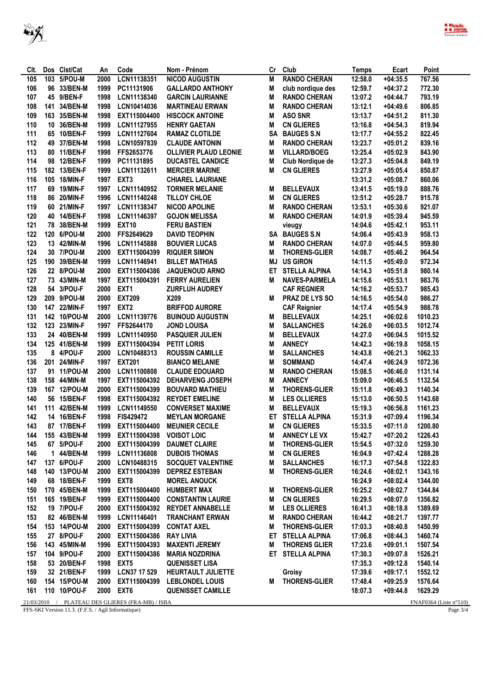

| Clt.     |     | Dos Clst/Cat | An   | Code                               | Nom - Prénom                    | Cr        | Club                 | Temps   | Ecart      | Point         |
|----------|-----|--------------|------|------------------------------------|---------------------------------|-----------|----------------------|---------|------------|---------------|
| 105      |     | 103 5/POU-M  | 2000 | LCN11138351                        | <b>NICOD AUGUSTIN</b>           | M         | <b>RANDO CHERAN</b>  | 12:58.0 | $+04:35.5$ | 767.56        |
| 106      |     | 96 33/BEN-M  | 1999 | PC11131906                         | <b>GALLARDO ANTHONY</b>         | M         | club nordique des    | 12:59.7 | $+04:37.2$ | 772.30        |
| 107      |     | 45 9/BEN-F   | 1998 | LCN11138340                        | <b>GARCIN LAURIANNE</b>         | M         | <b>RANDO CHERAN</b>  | 13:07.2 | $+04:44.7$ | 793.19        |
| 108      | 141 | 34/BEN-M     | 1998 | LCN10414036                        | <b>MARTINEAU ERWAN</b>          | M         | <b>RANDO CHERAN</b>  | 13:12.1 | $+04:49.6$ | 806.85        |
| 109      |     | 163 35/BEN-M | 1998 | EXT115004400                       | <b>HISCOCK ANTOINE</b>          | M         | <b>ASO SNR</b>       | 13:13.7 | $+04:51.2$ | 811.30        |
| 110      |     | 10 36/BEN-M  | 1999 | LCN11127955                        | <b>HENRY GAETAN</b>             | M         | <b>CN GLIERES</b>    | 13:16.8 | $+04:54.3$ | 819.94        |
| 111      |     | 65 10/BEN-F  | 1999 | LCN11127604                        | <b>RAMAZ CLOTILDE</b>           | <b>SA</b> | <b>BAUGES S.N</b>    | 13:17.7 | $+04:55.2$ | 822.45        |
| 112      |     | 49 37/BEN-M  | 1998 | LCN10597839                        | <b>CLAUDE ANTONIN</b>           | M         | <b>RANDO CHERAN</b>  | 13:23.7 | $+05:01.2$ | 839.16        |
| 113      |     | 80 11/BEN-F  | 1998 | FFS2653776                         | <b>OLLIVIER PLAUD LEONIE</b>    | M         | <b>VILLARD/BOEG</b>  | 13:25.4 | $+05:02.9$ | 843.90        |
| 114      |     | 98 12/BEN-F  | 1999 | PC11131895                         | <b>DUCASTEL CANDICE</b>         | M         | Club Nordique de     | 13:27.3 | $+05:04.8$ | 849.19        |
| 115      |     | 182 13/BEN-F | 1999 | LCN11132611                        | <b>MERCIER MARINE</b>           | M         | <b>CN GLIERES</b>    | 13:27.9 | $+05:05.4$ | 850.87        |
| 116      |     | 105 18/MIN-F | 1997 | EXT <sub>3</sub>                   | <b>CHIAREL LAURIANE</b>         |           |                      | 13:31.2 | $+05:08.7$ | 860.06        |
| 117      |     | 69 19/MIN-F  | 1997 | LCN11140952                        | <b>TORNIER MELANIE</b>          | M         | <b>BELLEVAUX</b>     | 13:41.5 | $+05:19.0$ | 888.76        |
| 118      |     | 86 20/MIN-F  | 1996 | LCN11140248                        | TILLOY CHLOE                    | M         | <b>CN GLIERES</b>    | 13:51.2 | $+05:28.7$ | 915.78        |
| 119      |     | 60 21/MIN-F  | 1997 | LCN11138347                        | <b>NICOD APOLINE</b>            | М         | <b>RANDO CHERAN</b>  | 13:53.1 | $+05:30.6$ | 921.07        |
| 120      |     | 40 14/BEN-F  | 1998 | LCN11146397                        | <b>GOJON MELISSA</b>            | М         | <b>RANDO CHERAN</b>  | 14:01.9 | $+05:39.4$ | 945.59        |
| 121      |     | 78 38/BEN-M  | 1999 | <b>EXT10</b>                       | <b>FERU BASTIEN</b>             |           | vieugy               | 14:04.6 | $+05:42.1$ | 953.11        |
| 122      |     | 120 6/POU-M  | 2000 | FFS2649629                         | <b>DAVID TEOPHIN</b>            | SA        | <b>BAUGES S.N</b>    | 14:06.4 | $+05:43.9$ | 958.13        |
| 123      |     | 13 42/MIN-M  | 1996 | LCN11145888                        | <b>BOUVIER LUCAS</b>            | M         | <b>RANDO CHERAN</b>  | 14:07.0 | $+05:44.5$ | 959.80        |
| 124      |     | 30 7/POU-M   | 2000 | EXT115004399                       | <b>RIQUIER SIMON</b>            | М         | <b>THORENS-GLIER</b> | 14:08.7 | $+05:46.2$ | 964.54        |
| 125      |     | 190 39/BEN-M | 1999 | LCN11146941                        | <b>BILLET MATHIAS</b>           | MJ        | <b>US GIRON</b>      | 14:11.5 | $+05:49.0$ | 972.34        |
| 126      |     | 22 8/POU-M   | 2000 | EXT115004386                       | <b>JAQUENOUD ARNO</b>           | ET        | <b>STELLA ALPINA</b> | 14:14.3 | $+05:51.8$ | 980.14        |
| 127      |     | 73 43/MIN-M  | 1997 | EXT115004391                       | <b>FERRY AURELIEN</b>           | М         | <b>NAVES-PARMELA</b> | 14:15.6 | $+05:53.1$ | 983.76        |
| 128      |     | 54 3/POU-F   | 2000 | EXT <sub>1</sub>                   | <b>ZURFLUH AUDREY</b>           |           | <b>CAF REGNIER</b>   | 14:16.2 | $+05:53.7$ | 985.43        |
| 129      |     | 209 9/POU-M  | 2000 | <b>EXT209</b>                      | X209                            | М         | PRAZ DE LYS SO       | 14:16.5 | $+05:54.0$ | 986.27        |
| 130      |     | 147 22/MIN-F | 1997 | EXT <sub>2</sub>                   | <b>BRIFFOD AURORE</b>           |           | <b>CAF Reignier</b>  | 14:17.4 | $+05:54.9$ | 988.78        |
| 131      |     | 142 10/POU-M | 2000 | LCN11139776                        | <b>BUINOUD AUGUSTIN</b>         | М         | <b>BELLEVAUX</b>     | 14:25.1 | $+06:02.6$ | 1010.23       |
| 132      |     | 123 23/MIN-F | 1997 | FFS2644170                         | <b>JOND LOUISA</b>              | M         |                      |         | $+06:03.5$ | 1012.74       |
|          |     |              |      |                                    |                                 |           | <b>SALLANCHES</b>    | 14:26.0 |            |               |
| 133      |     | 24 40/BEN-M  | 1999 | LCN11140950                        | <b>PASQUIER JULIEN</b>          | M<br>M    | <b>BELLEVAUX</b>     | 14:27.0 | $+06:04.5$ | 1015.52       |
| 134      |     | 125 41/BEN-M | 1999 | EXT115004394                       | <b>PETIT LORIS</b>              |           | <b>ANNECY</b>        | 14:42.3 | $+06:19.8$ | 1058.15       |
| 135      |     | 8 4/POU-F    | 2000 | LCN10488313                        | <b>ROUSSIN CAMILLE</b>          | M         | <b>SALLANCHES</b>    | 14:43.8 | $+06:21.3$ | 1062.33       |
| 136      |     | 201 24/MIN-F | 1997 | <b>EXT201</b>                      | <b>BIANCO MELANIE</b>           | M         | <b>SOMMAND</b>       | 14:47.4 | $+06:24.9$ | 1072.36       |
| 137      |     | 91 11/POU-M  | 2000 | LCN11100808                        | <b>CLAUDE EDOUARD</b>           | M         | <b>RANDO CHERAN</b>  | 15:08.5 | $+06:46.0$ | 1131.14       |
| 138      |     | 158 44/MIN-M | 1997 | EXT115004392                       | <b>DEHARVENG JOSEPH</b>         | M         | <b>ANNECY</b>        | 15:09.0 | $+06:46.5$ | 1132.54       |
| 139      |     | 167 12/POU-M | 2000 | EXT115004399                       | <b>BOUVARD MATHIEU</b>          | M         | <b>THORENS-GLIER</b> | 15:11.8 | $+06:49.3$ | 1140.34       |
| 140      |     | 56 15/BEN-F  | 1998 | EXT115004392                       | <b>REYDET EMELINE</b>           | M         | <b>LES OLLIERES</b>  | 15:13.0 | $+06:50.5$ | 1143.68       |
| 141      |     | 111 42/BEN-M | 1999 | LCN11149550                        | <b>CONVERSET MAXIME</b>         | M         | <b>BELLEVAUX</b>     | 15:19.3 | $+06:56.8$ | 1161.23       |
| 142      |     | 14 16/BEN-F  | 1998 | FIS429472                          | <b>MEYLAN MORGANE</b>           | ET        | <b>STELLA ALPINA</b> | 15:31.9 | $+07:09.4$ | 1196.34       |
| 143      |     | 87 17/BEN-F  | 1999 | EXT115004400                       | <b>MEUNIER CECILE</b>           | М         | <b>CN GLIERES</b>    | 15:33.5 | $+07:11.0$ | 1200.80       |
| 144      |     | 155 43/BEN-M |      | 1999 EXT115004398 VOISOT LOIC      |                                 | M         | <b>ANNECY LE VX</b>  | 15:42.7 | $+07:20.2$ | 1226.43       |
| 145      |     | 67 5/POU-F   |      |                                    | 2000 EXT115004399 DAUMET CLAIRE | M         | <b>THORENS-GLIER</b> | 15:54.5 | $+07:32.0$ | 1259.30       |
| 146      |     | 1 44/BEN-M   | 1999 | LCN11136808                        | <b>DUBOIS THOMAS</b>            | M         | <b>CN GLIERES</b>    | 16:04.9 | +07:42.4   | 1288.28       |
| 147      |     | 137 6/POU-F  | 2000 | LCN10488315                        | <b>SOCQUET VALENTINE</b>        | M         | <b>SALLANCHES</b>    | 16:17.3 | $+07:54.8$ | 1322.83       |
| 148      |     | 140 13/POU-M | 2000 | EXT115004399                       | <b>DEPREZ ESTEBAN</b>           | M         | <b>THORENS-GLIER</b> | 16:24.6 | $+08:02.1$ | 1343.16       |
| 149      |     | 68 18/BEN-F  | 1999 | EXT8                               | <b>MOREL ANOUCK</b>             |           |                      | 16:24.9 | $+08:02.4$ | 1344.00       |
| 150      |     | 170 45/BEN-M | 1999 |                                    | EXT115004400 HUMBERT MAX        | M         | <b>THORENS-GLIER</b> | 16:25.2 | $+08:02.7$ | 1344.84       |
| 151      |     | 165 19/BEN-F | 1999 |                                    | EXT115004400 CONSTANTIN LAURIE  | M         | <b>CN GLIERES</b>    | 16:29.5 | $+08:07.0$ | 1356.82       |
| 152      |     | 19 7/POU-F   | 2000 |                                    | EXT115004392 REYDET ANNABELLE   | M         | <b>LES OLLIERES</b>  | 16:41.3 | $+08:18.8$ | 1389.69       |
| 153      |     | 82 46/BEN-M  | 1999 | LCN11146401                        | <b>TRANCHANT ERWAN</b>          | M         | <b>RANDO CHERAN</b>  | 16:44.2 | $+08:21.7$ | 1397.77       |
| 154      |     | 153 14/POU-M | 2000 | EXT115004399 CONTAT AXEL           |                                 | M         | <b>THORENS-GLIER</b> | 17:03.3 | $+08:40.8$ | 1450.99       |
| 155      |     | 27 8/POU-F   | 2000 | <b>EXT115004386 RAY LIVIA</b>      |                                 |           | ET STELLA ALPINA     | 17:06.8 | $+08:44.3$ | 1460.74       |
| 156      |     | 143 45/MIN-M | 1996 | EXT115004393                       | <b>MAXENTI JEREMY</b>           | M         | <b>THORENS GLIER</b> | 17:23.6 | $+09:01.1$ | 1507.54       |
| 157      |     | 104 9/POU-F  | 2000 | EXT115004386                       | MARIA NOZDRINA                  |           | ET STELLA ALPINA     | 17:30.3 | $+09:07.8$ | 1526.21       |
| 158      |     | 53 20/BEN-F  | 1998 | EXT5                               | <b>QUENISSET LISA</b>           |           |                      | 17:35.3 | $+09:12.8$ | 1540.14       |
| 159      |     | 32 21/BEN-F  | 1999 | LCN37 17 529                       | <b>HEURTAULT JULIETTE</b>       |           | Groisy               | 17:39.6 | $+09:17.1$ | 1552.12       |
| 160      |     | 154 15/POU-M | 2000 |                                    | EXT115004399 LEBLONDEL LOUIS    | M         | <b>THORENS-GLIER</b> | 17:48.4 | $+09:25.9$ | 1576.64       |
| 161      |     | 110 10/POU-F | 2000 | EXT <sub>6</sub>                   | <b>QUENISSET CAMILLE</b>        |           |                      | 18:07.3 | $+09:44.8$ | 1629.29       |
| 21/02/20 |     |              |      | <b>TRAILDRCOLUDECODA MDV (ICD)</b> |                                 |           |                      |         |            | TNTATO2CAAT1. |

 $\frac{\,21/03/2010\quad/\quad \text{PLATEAU DES GLIERES (FRA-MB)\,/\,ISBA}}{\,FFS\text{-}SKI\ \text{Version}\ 11.3\,.\,(F.F.S./\ \text{Agil}\ \text{Informatique})}$ 

FNAF0364 (Liste n°510)<br>Page  $3/4$